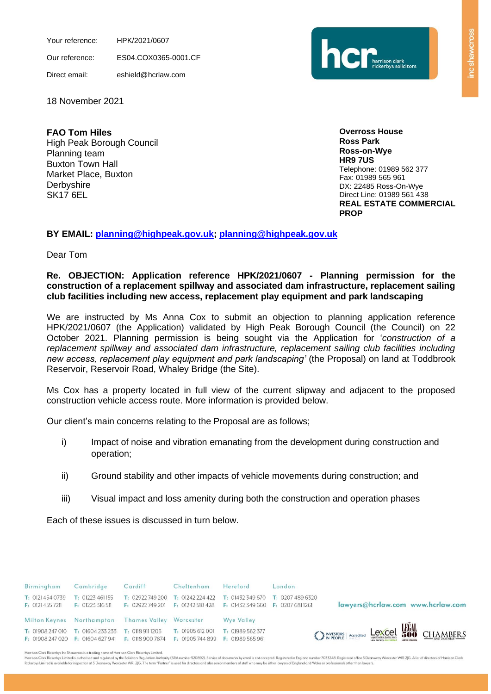Your reference: HPK/2021/0607

Our reference: ES04.COX0365-0001.CF

Direct email: eshield@hcrlaw.com



18 November 2021

**FAO Tom Hiles** High Peak Borough Council Planning team Buxton Town Hall Market Place, Buxton **Derbyshire** SK17 6EL

**Overross House Ross Park Ross-on-Wye HR9 7US** Telephone: 01989 562 377 Fax: 01989 565 961 DX: 22485 Ross-On-Wye Direct Line: 01989 561 438 **REAL ESTATE COMMERCIAL PROP**

# **BY EMAIL: [planning@highpeak.gov.uk; planning@highpeak.gov.uk](mailto:planning@highpeak.gov.uk)**

Dear Tom

### **Re. OBJECTION: Application reference HPK/2021/0607 - Planning permission for the construction of a replacement spillway and associated dam infrastructure, replacement sailing club facilities including new access, replacement play equipment and park landscaping**

We are instructed by Ms Anna Cox to submit an objection to planning application reference HPK/2021/0607 (the Application) validated by High Peak Borough Council (the Council) on 22 October 2021. Planning permission is being sought via the Application for '*construction of a replacement spillway and associated dam infrastructure, replacement sailing club facilities including new access, replacement play equipment and park landscaping'* (the Proposal) on land at Toddbrook Reservoir, Reservoir Road, Whaley Bridge (the Site).

Ms Cox has a property located in full view of the current slipway and adjacent to the proposed construction vehicle access route. More information is provided below.

Our client's main concerns relating to the Proposal are as follows;

- i) Impact of noise and vibration emanating from the development during construction and operation;
- ii) Ground stability and other impacts of vehicle movements during construction; and
- iii) Visual impact and loss amenity during both the construction and operation phases

Each of these issues is discussed in turn below.

| Birmingham                           | Cambridge                                                                     | Cardiff                                                                                 | Cheltenham                        | Hereford          | London                                                |
|--------------------------------------|-------------------------------------------------------------------------------|-----------------------------------------------------------------------------------------|-----------------------------------|-------------------|-------------------------------------------------------|
| T: 0121 454 0739<br>F: 0121 455 7211 | T: 01223 461 155<br>F: 01223 316 511                                          | T: 02922749200<br>F: 02922749 201 F: 01242 518 428 F: 01432 349 660 F: 0207 681 1261    | $T: 01242224422$ $T: 01432349670$ |                   | T: 0207 489 6320<br>lawyers@hcrlaw.com www.hcrlaw.com |
|                                      | Milton Keynes Northampton Thames Valley Worcester                             |                                                                                         |                                   | <b>Wye Valley</b> |                                                       |
|                                      | T: 01908 247 010 T: 01604 233 233<br><b>F: 01908 247 020 F: 01604 627 941</b> | T: 0118 911 1206 T: 01905 612 001<br>F: 0118 900 7874 F: 01905 744 899 F: 01989 565 961 |                                   | T: 01989 562 377  | O INVESTORS   Accredited Lexcel HOU CHAMBERS          |

Harrison Clark Rickerbys Inc Shawcross is a trading name of Harrison Clark Rickerbys Limited

Harrison Clark Rickerbys Limited is authorised and regulated by the Solicitors Regulation Authority (SRA number 520892). Service of documents by email is not accepted. Registered in England number 7033248. Registered offic Rickerbys Limited is available for inspection at 5 Deansway Worcester WRI 2JG. The term "Partner" is used for directors and also senior members of staff who may be either lawyers of England and Wales or professionals other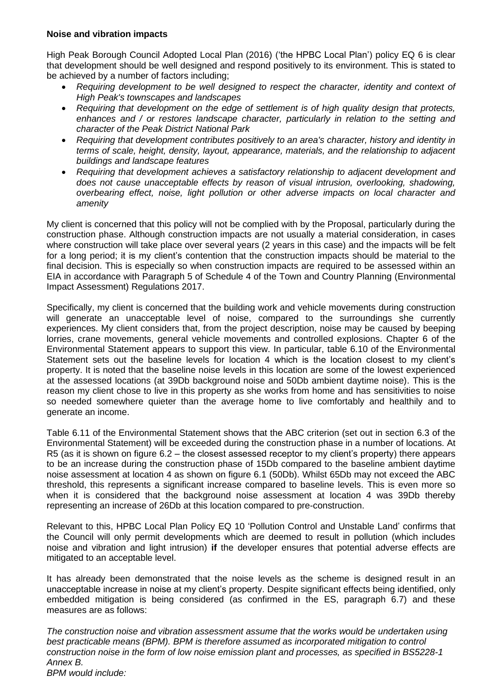### **Noise and vibration impacts**

High Peak Borough Council Adopted Local Plan (2016) ('the HPBC Local Plan') policy EQ 6 is clear that development should be well designed and respond positively to its environment. This is stated to be achieved by a number of factors including;

- *Requiring development to be well designed to respect the character, identity and context of High Peak's townscapes and landscapes*
- *Requiring that development on the edge of settlement is of high quality design that protects, enhances and / or restores landscape character, particularly in relation to the setting and character of the Peak District National Park*
- *Requiring that development contributes positively to an area's character, history and identity in terms of scale, height, density, layout, appearance, materials, and the relationship to adjacent buildings and landscape features*
- *Requiring that development achieves a satisfactory relationship to adjacent development and does not cause unacceptable effects by reason of visual intrusion, overlooking, shadowing, overbearing effect, noise, light pollution or other adverse impacts on local character and amenity*

My client is concerned that this policy will not be complied with by the Proposal, particularly during the construction phase. Although construction impacts are not usually a material consideration, in cases where construction will take place over several years (2 years in this case) and the impacts will be felt for a long period; it is my client's contention that the construction impacts should be material to the final decision. This is especially so when construction impacts are required to be assessed within an EIA in accordance with Paragraph 5 of Schedule 4 of the Town and Country Planning (Environmental Impact Assessment) Regulations 2017.

Specifically, my client is concerned that the building work and vehicle movements during construction will generate an unacceptable level of noise, compared to the surroundings she currently experiences. My client considers that, from the project description, noise may be caused by beeping lorries, crane movements, general vehicle movements and controlled explosions. Chapter 6 of the Environmental Statement appears to support this view. In particular, table 6.10 of the Environmental Statement sets out the baseline levels for location 4 which is the location closest to my client's property. It is noted that the baseline noise levels in this location are some of the lowest experienced at the assessed locations (at 39Db background noise and 50Db ambient daytime noise). This is the reason my client chose to live in this property as she works from home and has sensitivities to noise so needed somewhere quieter than the average home to live comfortably and healthily and to generate an income.

Table 6.11 of the Environmental Statement shows that the ABC criterion (set out in section 6.3 of the Environmental Statement) will be exceeded during the construction phase in a number of locations. At R5 (as it is shown on figure 6.2 – the closest assessed receptor to my client's property) there appears to be an increase during the construction phase of 15Db compared to the baseline ambient daytime noise assessment at location 4 as shown on figure 6.1 (50Db). Whilst 65Db may not exceed the ABC threshold, this represents a significant increase compared to baseline levels. This is even more so when it is considered that the background noise assessment at location 4 was 39Db thereby representing an increase of 26Db at this location compared to pre-construction.

Relevant to this, HPBC Local Plan Policy EQ 10 'Pollution Control and Unstable Land' confirms that the Council will only permit developments which are deemed to result in pollution (which includes noise and vibration and light intrusion) **if** the developer ensures that potential adverse effects are mitigated to an acceptable level.

It has already been demonstrated that the noise levels as the scheme is designed result in an unacceptable increase in noise at my client's property. Despite significant effects being identified, only embedded mitigation is being considered (as confirmed in the ES, paragraph 6.7) and these measures are as follows:

*The construction noise and vibration assessment assume that the works would be undertaken using best practicable means (BPM). BPM is therefore assumed as incorporated mitigation to control construction noise in the form of low noise emission plant and processes, as specified in BS5228-1 Annex B. BPM would include:*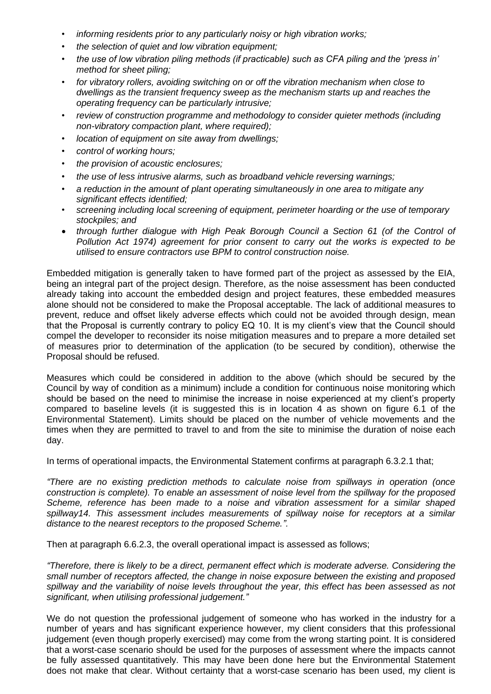- *informing residents prior to any particularly noisy or high vibration works;*
- *the selection of quiet and low vibration equipment;*
- *the use of low vibration piling methods (if practicable) such as CFA piling and the 'press in' method for sheet piling;*
- *for vibratory rollers, avoiding switching on or off the vibration mechanism when close to dwellings as the transient frequency sweep as the mechanism starts up and reaches the operating frequency can be particularly intrusive;*
- *review of construction programme and methodology to consider quieter methods (including non-vibratory compaction plant, where required);*
- *location of equipment on site away from dwellings;*
- *control of working hours;*
- *the provision of acoustic enclosures;*
- *the use of less intrusive alarms, such as broadband vehicle reversing warnings;*
- *a reduction in the amount of plant operating simultaneously in one area to mitigate any significant effects identified;*
- *screening including local screening of equipment, perimeter hoarding or the use of temporary stockpiles; and*
- *through further dialogue with High Peak Borough Council a Section 61 (of the Control of Pollution Act 1974) agreement for prior consent to carry out the works is expected to be utilised to ensure contractors use BPM to control construction noise.*

Embedded mitigation is generally taken to have formed part of the project as assessed by the EIA, being an integral part of the project design. Therefore, as the noise assessment has been conducted already taking into account the embedded design and project features, these embedded measures alone should not be considered to make the Proposal acceptable. The lack of additional measures to prevent, reduce and offset likely adverse effects which could not be avoided through design, mean that the Proposal is currently contrary to policy EQ 10. It is my client's view that the Council should compel the developer to reconsider its noise mitigation measures and to prepare a more detailed set of measures prior to determination of the application (to be secured by condition), otherwise the Proposal should be refused.

Measures which could be considered in addition to the above (which should be secured by the Council by way of condition as a minimum) include a condition for continuous noise monitoring which should be based on the need to minimise the increase in noise experienced at my client's property compared to baseline levels (it is suggested this is in location 4 as shown on figure 6.1 of the Environmental Statement). Limits should be placed on the number of vehicle movements and the times when they are permitted to travel to and from the site to minimise the duration of noise each day.

In terms of operational impacts, the Environmental Statement confirms at paragraph 6.3.2.1 that;

*"There are no existing prediction methods to calculate noise from spillways in operation (once construction is complete). To enable an assessment of noise level from the spillway for the proposed Scheme, reference has been made to a noise and vibration assessment for a similar shaped spillway14. This assessment includes measurements of spillway noise for receptors at a similar distance to the nearest receptors to the proposed Scheme.".*

Then at paragraph 6.6.2.3, the overall operational impact is assessed as follows;

*"Therefore, there is likely to be a direct, permanent effect which is moderate adverse. Considering the small number of receptors affected, the change in noise exposure between the existing and proposed spillway and the variability of noise levels throughout the year, this effect has been assessed as not significant, when utilising professional judgement."*

We do not question the professional judgement of someone who has worked in the industry for a number of years and has significant experience however, my client considers that this professional judgement (even though properly exercised) may come from the wrong starting point. It is considered that a worst-case scenario should be used for the purposes of assessment where the impacts cannot be fully assessed quantitatively. This may have been done here but the Environmental Statement does not make that clear. Without certainty that a worst-case scenario has been used, my client is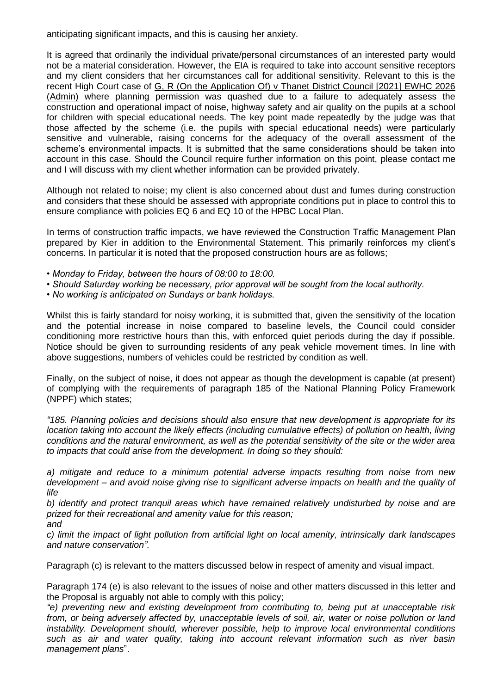anticipating significant impacts, and this is causing her anxiety.

It is agreed that ordinarily the individual private/personal circumstances of an interested party would not be a material consideration. However, the EIA is required to take into account sensitive receptors and my client considers that her circumstances call for additional sensitivity. Relevant to this is the recent High Court case of G, R (On the Application Of) v Thanet District Council [2021] EWHC 2026 (Admin) where planning permission was quashed due to a failure to adequately assess the construction and operational impact of noise, highway safety and air quality on the pupils at a school for children with special educational needs. The key point made repeatedly by the judge was that those affected by the scheme (i.e. the pupils with special educational needs) were particularly sensitive and vulnerable, raising concerns for the adequacy of the overall assessment of the scheme's environmental impacts. It is submitted that the same considerations should be taken into account in this case. Should the Council require further information on this point, please contact me and I will discuss with my client whether information can be provided privately.

Although not related to noise; my client is also concerned about dust and fumes during construction and considers that these should be assessed with appropriate conditions put in place to control this to ensure compliance with policies EQ 6 and EQ 10 of the HPBC Local Plan.

In terms of construction traffic impacts, we have reviewed the Construction Traffic Management Plan prepared by Kier in addition to the Environmental Statement. This primarily reinforces my client's concerns. In particular it is noted that the proposed construction hours are as follows;

*• Monday to Friday, between the hours of 08:00 to 18:00.*

- *Should Saturday working be necessary, prior approval will be sought from the local authority.*
- *No working is anticipated on Sundays or bank holidays.*

Whilst this is fairly standard for noisy working, it is submitted that, given the sensitivity of the location and the potential increase in noise compared to baseline levels, the Council could consider conditioning more restrictive hours than this, with enforced quiet periods during the day if possible. Notice should be given to surrounding residents of any peak vehicle movement times. In line with above suggestions, numbers of vehicles could be restricted by condition as well.

Finally, on the subject of noise, it does not appear as though the development is capable (at present) of complying with the requirements of paragraph 185 of the National Planning Policy Framework (NPPF) which states;

*"185. Planning policies and decisions should also ensure that new development is appropriate for its location taking into account the likely effects (including cumulative effects) of pollution on health, living conditions and the natural environment, as well as the potential sensitivity of the site or the wider area to impacts that could arise from the development. In doing so they should:*

*a) mitigate and reduce to a minimum potential adverse impacts resulting from noise from new development – and avoid noise giving rise to significant adverse impacts on health and the quality of life*

*b) identify and protect tranquil areas which have remained relatively undisturbed by noise and are prized for their recreational and amenity value for this reason; and*

*c) limit the impact of light pollution from artificial light on local amenity, intrinsically dark landscapes and nature conservation".*

Paragraph (c) is relevant to the matters discussed below in respect of amenity and visual impact.

Paragraph 174 (e) is also relevant to the issues of noise and other matters discussed in this letter and the Proposal is arguably not able to comply with this policy;

*"e) preventing new and existing development from contributing to, being put at unacceptable risk from, or being adversely affected by, unacceptable levels of soil, air, water or noise pollution or land instability. Development should, wherever possible, help to improve local environmental conditions such as air and water quality, taking into account relevant information such as river basin management plans*".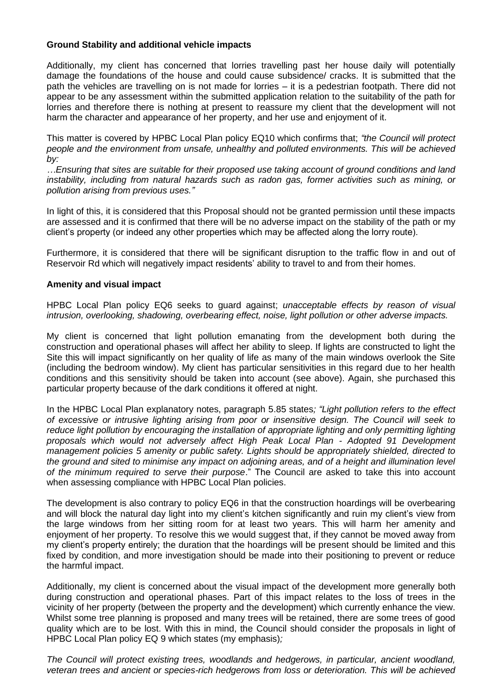#### **Ground Stability and additional vehicle impacts**

Additionally, my client has concerned that lorries travelling past her house daily will potentially damage the foundations of the house and could cause subsidence/ cracks. It is submitted that the path the vehicles are travelling on is not made for lorries – it is a pedestrian footpath. There did not appear to be any assessment within the submitted application relation to the suitability of the path for lorries and therefore there is nothing at present to reassure my client that the development will not harm the character and appearance of her property, and her use and enjoyment of it.

This matter is covered by HPBC Local Plan policy EQ10 which confirms that; *"the Council will protect people and the environment from unsafe, unhealthy and polluted environments. This will be achieved by:*

*…Ensuring that sites are suitable for their proposed use taking account of ground conditions and land instability, including from natural hazards such as radon gas, former activities such as mining, or pollution arising from previous uses."*

In light of this, it is considered that this Proposal should not be granted permission until these impacts are assessed and it is confirmed that there will be no adverse impact on the stability of the path or my client's property (or indeed any other properties which may be affected along the lorry route).

Furthermore, it is considered that there will be significant disruption to the traffic flow in and out of Reservoir Rd which will negatively impact residents' ability to travel to and from their homes.

#### **Amenity and visual impact**

HPBC Local Plan policy EQ6 seeks to guard against; *unacceptable effects by reason of visual intrusion, overlooking, shadowing, overbearing effect, noise, light pollution or other adverse impacts.* 

My client is concerned that light pollution emanating from the development both during the construction and operational phases will affect her ability to sleep. If lights are constructed to light the Site this will impact significantly on her quality of life as many of the main windows overlook the Site (including the bedroom window). My client has particular sensitivities in this regard due to her health conditions and this sensitivity should be taken into account (see above). Again, she purchased this particular property because of the dark conditions it offered at night.

In the HPBC Local Plan explanatory notes, paragraph 5.85 states*; "Light pollution refers to the effect of excessive or intrusive lighting arising from poor or insensitive design. The Council will seek to*  reduce light pollution by encouraging the installation of appropriate lighting and only permitting lighting *proposals which would not adversely affect High Peak Local Plan - Adopted 91 Development management policies 5 amenity or public safety. Lights should be appropriately shielded, directed to the ground and sited to minimise any impact on adjoining areas, and of a height and illumination level of the minimum required to serve their purpose*." The Council are asked to take this into account when assessing compliance with HPBC Local Plan policies.

The development is also contrary to policy EQ6 in that the construction hoardings will be overbearing and will block the natural day light into my client's kitchen significantly and ruin my client's view from the large windows from her sitting room for at least two years. This will harm her amenity and enjoyment of her property. To resolve this we would suggest that, if they cannot be moved away from my client's property entirely; the duration that the hoardings will be present should be limited and this fixed by condition, and more investigation should be made into their positioning to prevent or reduce the harmful impact.

Additionally, my client is concerned about the visual impact of the development more generally both during construction and operational phases. Part of this impact relates to the loss of trees in the vicinity of her property (between the property and the development) which currently enhance the view. Whilst some tree planning is proposed and many trees will be retained, there are some trees of good quality which are to be lost. With this in mind, the Council should consider the proposals in light of HPBC Local Plan policy EQ 9 which states (my emphasis)*;*

*The Council will protect existing trees, woodlands and hedgerows, in particular, ancient woodland, veteran trees and ancient or species-rich hedgerows from loss or deterioration. This will be achieved*